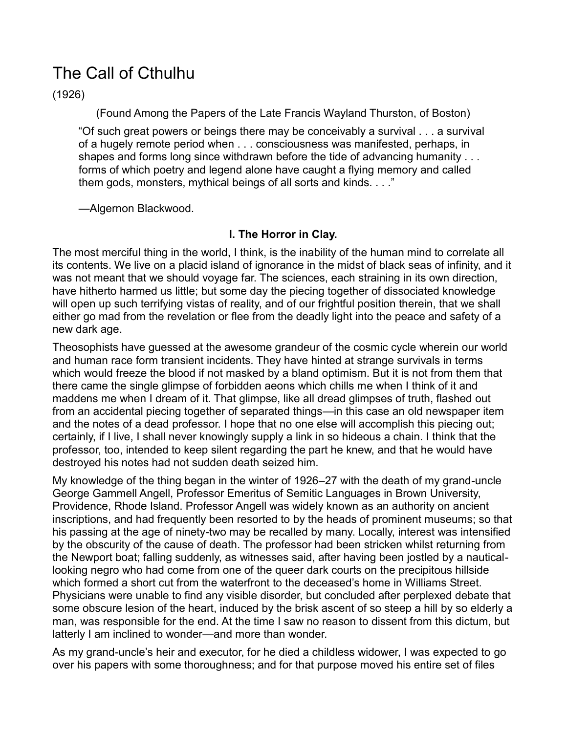# The Call of Cthulhu

(1926)

(Found Among the Papers of the Late Francis Wayland Thurston, of Boston)

³Of such great powers or beings there may be conceivably a survival . . . a survival of a hugely remote period when . . . consciousness was manifested, perhaps, in shapes and forms long since withdrawn before the tide of advancing humanity . . . forms of which poetry and legend alone have caught a flying memory and called them gods, monsters, mythical beings of all sorts and kinds.  $\ldots$ "

-Algernon Blackwood.

# **I. The Horror in Clay.**

The most merciful thing in the world, I think, is the inability of the human mind to correlate all its contents. We live on a placid island of ignorance in the midst of black seas of infinity, and it was not meant that we should voyage far. The sciences, each straining in its own direction, have hitherto harmed us little; but some day the piecing together of dissociated knowledge will open up such terrifying vistas of reality, and of our frightful position therein, that we shall either go mad from the revelation or flee from the deadly light into the peace and safety of a new dark age.

Theosophists have guessed at the awesome grandeur of the cosmic cycle wherein our world and human race form transient incidents. They have hinted at strange survivals in terms which would freeze the blood if not masked by a bland optimism. But it is not from them that there came the single glimpse of forbidden aeons which chills me when I think of it and maddens me when I dream of it. That glimpse, like all dread glimpses of truth, flashed out from an accidental piecing together of separated things—in this case an old newspaper item and the notes of a dead professor. I hope that no one else will accomplish this piecing out; certainly, if I live, I shall never knowingly supply a link in so hideous a chain. I think that the professor, too, intended to keep silent regarding the part he knew, and that he would have destroyed his notes had not sudden death seized him.

My knowledge of the thing began in the winter of 1926 $-27$  with the death of my grand-uncle George Gammell Angell, Professor Emeritus of Semitic Languages in Brown University, Providence, Rhode Island. Professor Angell was widely known as an authority on ancient inscriptions, and had frequently been resorted to by the heads of prominent museums; so that his passing at the age of ninety-two may be recalled by many. Locally, interest was intensified by the obscurity of the cause of death. The professor had been stricken whilst returning from the Newport boat; falling suddenly, as witnesses said, after having been jostled by a nauticallooking negro who had come from one of the queer dark courts on the precipitous hillside which formed a short cut from the waterfront to the deceased's home in Williams Street. Physicians were unable to find any visible disorder, but concluded after perplexed debate that some obscure lesion of the heart, induced by the brisk ascent of so steep a hill by so elderly a man, was responsible for the end. At the time I saw no reason to dissent from this dictum, but latterly I am inclined to wonder—and more than wonder.

As my grand-uncle's heir and executor, for he died a childless widower, I was expected to go over his papers with some thoroughness; and for that purpose moved his entire set of files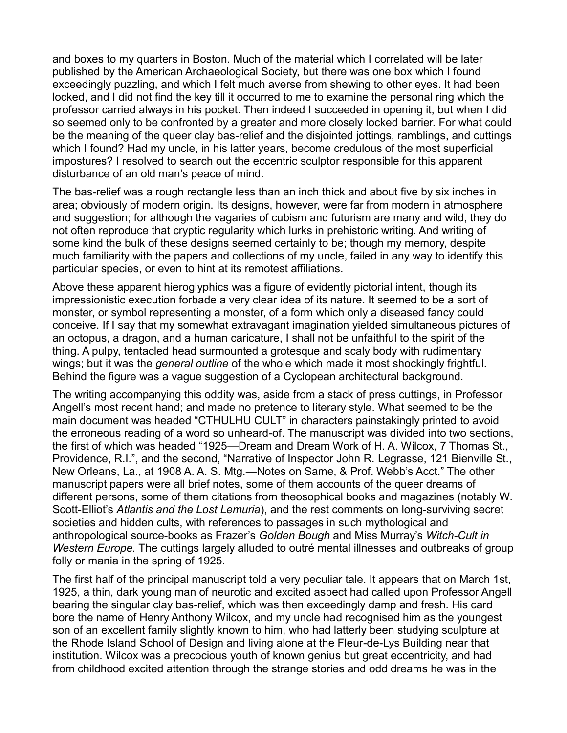and boxes to my quarters in Boston. Much of the material which I correlated will be later published by the American Archaeological Society, but there was one box which I found exceedingly puzzling, and which I felt much averse from shewing to other eyes. It had been locked, and I did not find the key till it occurred to me to examine the personal ring which the professor carried always in his pocket. Then indeed I succeeded in opening it, but when I did so seemed only to be confronted by a greater and more closely locked barrier. For what could be the meaning of the queer clay bas-relief and the disjointed jottings, ramblings, and cuttings which I found? Had my uncle, in his latter years, become credulous of the most superficial impostures? I resolved to search out the eccentric sculptor responsible for this apparent disturbance of an old man's peace of mind.

The bas-relief was a rough rectangle less than an inch thick and about five by six inches in area; obviously of modern origin. Its designs, however, were far from modern in atmosphere and suggestion; for although the vagaries of cubism and futurism are many and wild, they do not often reproduce that cryptic regularity which lurks in prehistoric writing. And writing of some kind the bulk of these designs seemed certainly to be; though my memory, despite much familiarity with the papers and collections of my uncle, failed in any way to identify this particular species, or even to hint at its remotest affiliations.

Above these apparent hieroglyphics was a figure of evidently pictorial intent, though its impressionistic execution forbade a very clear idea of its nature. It seemed to be a sort of monster, or symbol representing a monster, of a form which only a diseased fancy could conceive. If I say that my somewhat extravagant imagination yielded simultaneous pictures of an octopus, a dragon, and a human caricature, I shall not be unfaithful to the spirit of the thing. A pulpy, tentacled head surmounted a grotesque and scaly body with rudimentary wings; but it was the *general outline* of the whole which made it most shockingly frightful. Behind the figure was a vague suggestion of a Cyclopean architectural background.

The writing accompanying this oddity was, aside from a stack of press cuttings, in Professor Angell's most recent hand; and made no pretence to literary style. What seemed to be the main document was headed "CTHULHU CULT" in characters painstakingly printed to avoid the erroneous reading of a word so unheard-of. The manuscript was divided into two sections, the first of which was headed "1925—Dream and Dream Work of H. A. Wilcox, 7 Thomas St., Providence, R.I.", and the second, "Narrative of Inspector John R. Legrasse, 121 Bienville St., New Orleans, La., at 1908 A. A. S. Mtg.—Notes on Same, & Prof. Webb's Acct." The other manuscript papers were all brief notes, some of them accounts of the queer dreams of different persons, some of them citations from theosophical books and magazines (notably W. Scott-Elliot's Atlantis and the Lost Lemuria), and the rest comments on long-surviving secret societies and hidden cults, with references to passages in such mythological and anthropological source-books as Frazer's Golden Bough and Miss Murray's Witch-Cult in *Western Europe.* The cuttings largely alluded to outré mental illnesses and outbreaks of group folly or mania in the spring of 1925.

The first half of the principal manuscript told a very peculiar tale. It appears that on March 1st, 1925, a thin, dark young man of neurotic and excited aspect had called upon Professor Angell bearing the singular clay bas-relief, which was then exceedingly damp and fresh. His card bore the name of Henry Anthony Wilcox, and my uncle had recognised him as the youngest son of an excellent family slightly known to him, who had latterly been studying sculpture at the Rhode Island School of Design and living alone at the Fleur-de-Lys Building near that institution. Wilcox was a precocious youth of known genius but great eccentricity, and had from childhood excited attention through the strange stories and odd dreams he was in the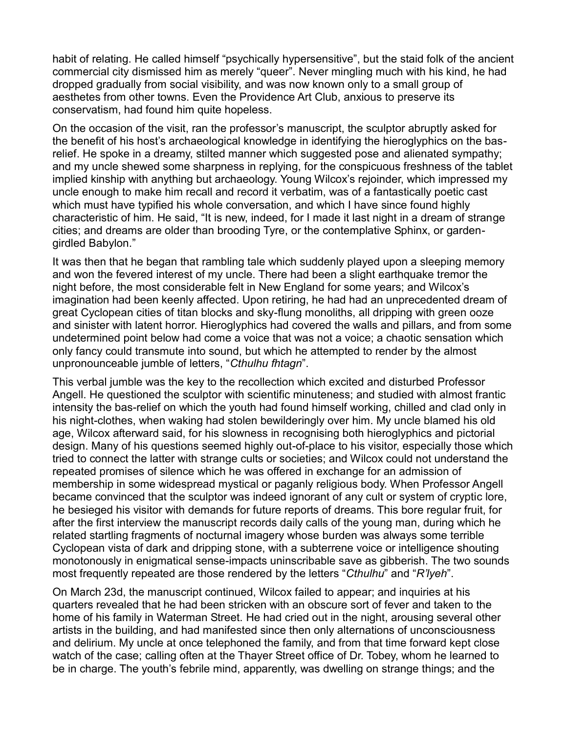<span id="page-2-0"></span>habit of relating. He called himself "psychically hypersensitive", but the staid folk of the ancient commercial city dismissed him as merely "queer". Never mingling much with his kind, he had dropped gradually from social visibility, and was now known only to a small group of aesthetes from other towns. Even the Providence Art Club, anxious to preserve its conservatism, had found him quite hopeless.

On the occasion of the visit, ran the professor's manuscript, the sculptor abruptly asked for the benefit of his host's archaeological knowledge in identifying the hieroglyphics on the basrelief. He spoke in a dreamy, stilted manner which suggested pose and alienated sympathy; and my uncle shewed some sharpness in replying, for the conspicuous freshness of the tablet implied kinship with anything but archaeology. Young Wilcox's rejoinder, which impressed my uncle enough to make him recall and record it verbatim, was of a fantastically poetic cast which must have typified his whole conversation, and which I have since found highly characteristic of him. He said, "It is new, indeed, for I made it last night in a dream of strange cities; and dreams are older than brooding Tyre, or the contemplative Sphinx, or gardengirdled Babylon."

It was then that he began that rambling tale which suddenly played upon a sleeping memory and won the fevered interest of my uncle. There had been a slight earthquake tremor the hight before, the most considerable felt in New England for some years; and Wilcox's imagination had been keenly affected. Upon retiring, he had had an unprecedented dream of great Cyclopean cities of titan blocks and sky-flung monoliths, all dripping with green ooze and sinister with latent horror. Hieroglyphics had covered the walls and pillars, and from some undetermined point below had come a voice that was not a voice; a chaotic sensation which only fancy could transmute into sound, but which he attempted to render by the almost unpronounceable jumble of letters, "Cthulhu fhtagn".

This verbal jumble was the key to the recollection which excited and disturbed Professor Angell. He questioned the sculptor with scientific minuteness; and studied with almost frantic intensity the bas-relief on which the youth had found himself working, chilled and clad only in his night-clothes, when waking had stolen bewilderingly over him. My uncle blamed his old age, Wilcox afterward said, for his slowness in recognising both hieroglyphics and pictorial design. Many of his questions seemed highly out-of-place to his visitor, especially those which tried to connect the latter with strange cults or societies; and Wilcox could not understand the repeated promises of silence which he was offered in exchange for an admission of membership in some widespread mystical or paganly religious body. When Professor Angell became convinced that the sculptor was indeed ignorant of any cult or system of cryptic lore, he besieged his visitor with demands for future reports of dreams. This bore regular fruit, for after the first interview the manuscript records daily calls of the young man, during which he related startling fragments of nocturnal imagery whose burden was always some terrible Cyclopean vista of dark and dripping stone, with a subterrene voice or intelligence shouting monotonously in enigmatical sense-impacts uninscribable save as gibberish. The two sounds most frequently repeated are those rendered by the letters "Cthulhu" and "R'lyeh".

On March 23d, the manuscript continued, Wilcox failed to appear; and inquiries at his quarters revealed that he had been stricken with an obscure sort of fever and taken to the home of his family in Waterman Street. He had cried out in the night, arousing several other artists in the building, and had manifested since then only alternations of unconsciousness and delirium. My uncle at once telephoned the family, and from that time forward kept close watch of the case; calling often at the Thayer Street office of Dr. Tobey, whom he learned to be in charge. The youth's febrile mind, apparently, was dwelling on strange things; and the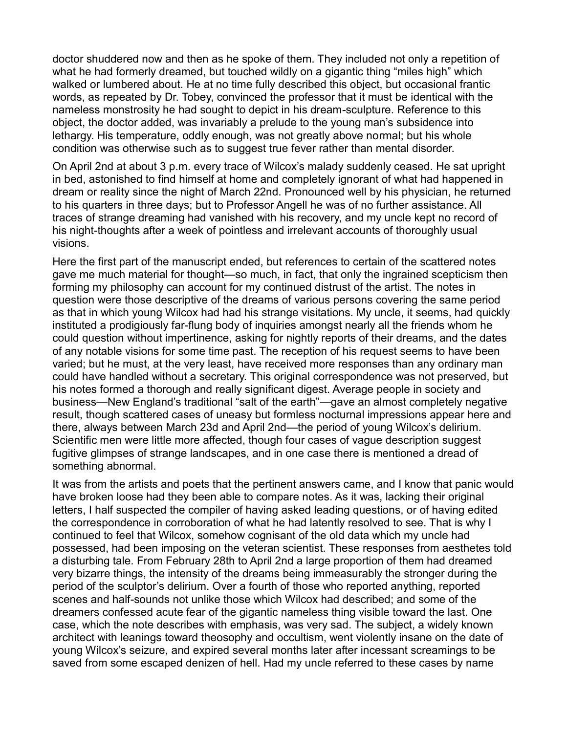doctor shuddered now and then as he spoke of them. They included not only a repetition of what he had formerly dreamed, but touched wildly on a gigantic thing "miles high" which walked or lumbered about. He at no time fully described this object, but occasional frantic words, as repeated by Dr. Tobey, convinced the professor that it must be identical with the nameless monstrosity he had sought to depict in his dream-sculpture. Reference to this object, the doctor added, was invariably a prelude to the young man's subsidence into lethargy. His temperature, oddly enough, was not greatly above normal; but his whole condition was otherwise such as to suggest true fever rather than mental disorder.

On April 2nd at about 3 p.m. every trace of Wilcox's malady suddenly ceased. He sat upright in bed, astonished to find himself at home and completely ignorant of what had happened in dream or reality since the night of March 22nd. Pronounced well by his physician, he returned to his quarters in three days; but to Professor Angell he was of no further assistance. All traces of strange dreaming had vanished with his recovery, and my uncle kept no record of his night-thoughts after a week of pointless and irrelevant accounts of thoroughly usual visions.

Here the first part of the manuscript ended, but references to certain of the scattered notes gave me much material for thought—so much, in fact, that only the ingrained scepticism then forming my philosophy can account for my continued distrust of the artist. The notes in question were those descriptive of the dreams of various persons covering the same period as that in which young Wilcox had had his strange visitations. My uncle, it seems, had quickly instituted a prodigiously far-flung body of inquiries amongst nearly all the friends whom he could question without impertinence, asking for nightly reports of their dreams, and the dates of any notable visions for some time past. The reception of his request seems to have been varied; but he must, at the very least, have received more responses than any ordinary man could have handled without a secretary. This original correspondence was not preserved, but his notes formed a thorough and really significant digest. Average people in society and business—New England's traditional "salt of the earth"—gave an almost completely negative result, though scattered cases of uneasy but formless nocturnal impressions appear here and there, always between March 23d and April 2nd—the period of young Wilcox's delirium. Scientific men were little more affected, though four cases of vague description suggest fugitive glimpses of strange landscapes, and in one case there is mentioned a dread of something abnormal.

It was from the artists and poets that the pertinent answers came, and I know that panic would have broken loose had they been able to compare notes. As it was, lacking their original letters, I half suspected the compiler of having asked leading questions, or of having edited the correspondence in corroboration of what he had latently resolved to see. That is why I continued to feel that Wilcox, somehow cognisant of the old data which my uncle had possessed, had been imposing on the veteran scientist. These responses from aesthetes told a disturbing tale. From February 28th to April 2nd a large proportion of them had dreamed very bizarre things, the intensity of the dreams being immeasurably the stronger during the period of the sculptor's delirium. Over a fourth of those who reported anything, reported scenes and half-sounds not unlike those which Wilcox had described; and some of the dreamers confessed acute fear of the gigantic nameless thing visible toward the last. One case, which the note describes with emphasis, was very sad. The subject, a widely known architect with leanings toward theosophy and occultism, went violently insane on the date of young Wilcox's seizure, and expired several months later after incessant screamings to be saved from some escaped denizen of hell. Had my uncle referred to these cases by name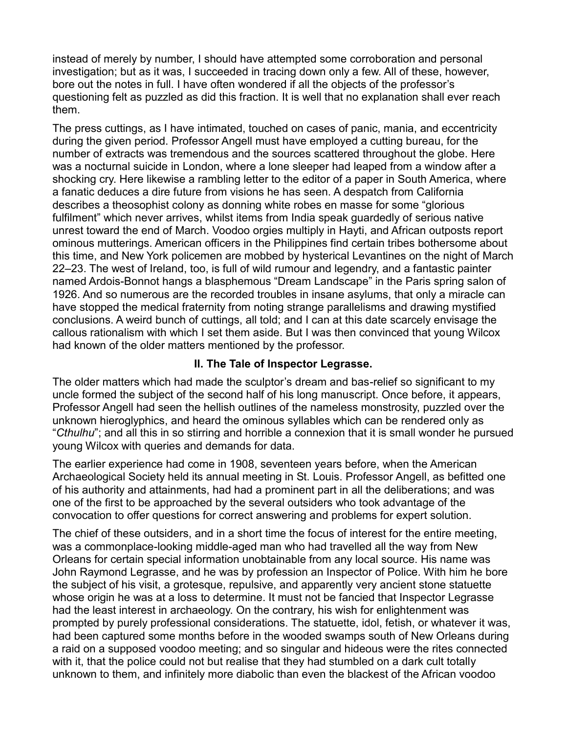instead of merely by number, I should have attempted some corroboration and personal investigation; but as it was, I succeeded in tracing down only a few. All of these, however, bore out the notes in full. I have often wondered if all the objects of the professor's questioning felt as puzzled as did this fraction. It is well that no explanation shall ever reach them.

The press cuttings, as I have intimated, touched on cases of panic, mania, and eccentricity during the given period. Professor Angell must have employed a cutting bureau, for the number of extracts was tremendous and the sources scattered throughout the globe. Here was a nocturnal suicide in London, where a lone sleeper had leaped from a window after a shocking cry. Here likewise a rambling letter to the editor of a paper in South America, where a fanatic deduces a dire future from visions he has seen. A despatch from California describes a theosophist colony as donning white robes en masse for some "glorious" fulfilment" which never arrives, whilst items from India speak quardedly of serious native unrest toward the end of March. Voodoo orgies multiply in Hayti, and African outposts report ominous mutterings. American officers in the Philippines find certain tribes bothersome about this time, and New York policemen are mobbed by hysterical Levantines on the night of March 22–23. The west of Ireland, too, is full of wild rumour and legendry, and a fantastic painter named Ardois-Bonnot hangs a blasphemous "Dream Landscape" in the Paris spring salon of 1926. And so numerous are the recorded troubles in insane asylums, that only a miracle can have stopped the medical fraternity from noting strange parallelisms and drawing mystified conclusions. A weird bunch of cuttings, all told; and I can at this date scarcely envisage the callous rationalism with which I set them aside. But I was then convinced that young Wilcox had known of the older matters mentioned by the professor.

### **II. The Tale of Inspector Legrasse.**

The older matters which had made the sculptor's dream and bas-relief so significant to my uncle formed the subject of the second half of his long manuscript. Once before, it appears, Professor Angell had seen the hellish outlines of the nameless monstrosity, puzzled over the unknown hieroglyphics, and heard the ominous syllables which can be rendered only as *<sup>o</sup>Cthulhu*"; and all this in so stirring and horrible a connexion that it is small wonder he pursued young Wilcox with queries and demands for data.

The earlier experience had come in 1908, seventeen years before, when the American Archaeological Society held its annual meeting in St. Louis. Professor Angell, as befitted one of his authority and attainments, had had a prominent part in all the deliberations; and was one of the first to be approached by the several outsiders who took advantage of the convocation to offer questions for correct answering and problems for expert solution.

The chief of these outsiders, and in a short time the focus of interest for the entire meeting, was a commonplace-looking middle-aged man who had travelled all the way from New Orleans for certain special information unobtainable from any local source. His name was John Raymond Legrasse, and he was by profession an Inspector of Police. With him he bore the subject of his visit, a grotesque, repulsive, and apparently very ancient stone statuette whose origin he was at a loss to determine. It must not be fancied that Inspector Legrasse had the least interest in archaeology. On the contrary, his wish for enlightenment was prompted by purely professional considerations. The statuette, idol, fetish, or whatever it was, had been captured some months before in the wooded swamps south of New Orleans during a raid on a supposed voodoo meeting; and so singular and hideous were the rites connected with it, that the police could not but realise that they had stumbled on a dark cult totally unknown to them, and infinitely more diabolic than even the blackest of the African voodoo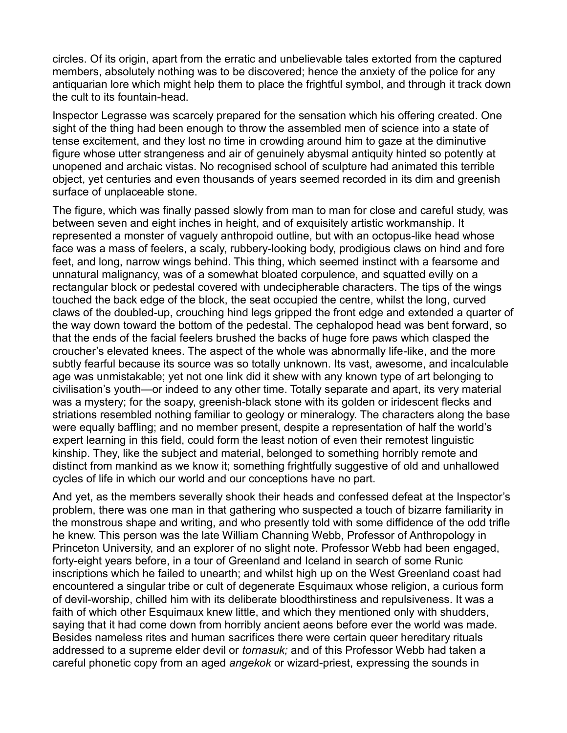circles. Of its origin, apart from the erratic and unbelievable tales extorted from the captured members, absolutely nothing was to be discovered; hence the anxiety of the police for any antiquarian lore which might help them to place the frightful symbol, and through it track down the cult to its fountain-head.

Inspector Legrasse was scarcely prepared for the sensation which his offering created. One sight of the thing had been enough to throw the assembled men of science into a state of tense excitement, and they lost no time in crowding around him to gaze at the diminutive figure whose utter strangeness and air of genuinely abysmal antiquity hinted so potently at unopened and archaic vistas. No recognised school of sculpture had animated this terrible object, yet centuries and even thousands of years seemed recorded in its dim and greenish surface of unplaceable stone.

The figure, which was finally passed slowly from man to man for close and careful study, was between seven and eight inches in height, and of exquisitely artistic workmanship. It represented a monster of vaguely anthropoid outline, but with an octopus-like head whose face was a mass of feelers, a scaly, rubbery-looking body, prodigious claws on hind and fore feet, and long, narrow wings behind. This thing, which seemed instinct with a fearsome and unnatural malignancy, was of a somewhat bloated corpulence, and squatted evilly on a rectangular block or pedestal covered with undecipherable characters. The tips of the wings touched the back edge of the block, the seat occupied the centre, whilst the long, curved claws of the doubled-up, crouching hind legs gripped the front edge and extended a quarter of the way down toward the bottom of the pedestal. The cephalopod head was bent forward, so that the ends of the facial feelers brushed the backs of huge fore paws which clasped the croucher's elevated knees. The aspect of the whole was abnormally life-like, and the more subtly fearful because its source was so totally unknown. Its vast, awesome, and incalculable age was unmistakable; yet not one link did it shew with any known type of art belonging to civilisation's youth—or indeed to any other time. Totally separate and apart, its very material was a mystery; for the soapy, greenish-black stone with its golden or iridescent flecks and striations resembled nothing familiar to geology or mineralogy. The characters along the base were equally baffling; and no member present, despite a representation of half the world's expert learning in this field, could form the least notion of even their remotest linguistic kinship. They, like the subject and material, belonged to something horribly remote and distinct from mankind as we know it; something frightfully suggestive of old and unhallowed cycles of life in which our world and our conceptions have no part.

And yet, as the members severally shook their heads and confessed defeat at the Inspector's problem, there was one man in that gathering who suspected a touch of bizarre familiarity in the monstrous shape and writing, and who presently told with some diffidence of the odd trifle he knew. This person was the late William Channing Webb, Professor of Anthropology in Princeton University, and an explorer of no slight note. Professor Webb had been engaged, forty-eight years before, in a tour of Greenland and Iceland in search of some Runic inscriptions which he failed to unearth; and whilst high up on the West Greenland coast had encountered a singular tribe or cult of degenerate Esquimaux whose religion, a curious form of devil-worship, chilled him with its deliberate bloodthirstiness and repulsiveness. It was a faith of which other Esquimaux knew little, and which they mentioned only with shudders, saying that it had come down from horribly ancient aeons before ever the world was made. Besides nameless rites and human sacrifices there were certain queer hereditary rituals addressed to a supreme elder devil or *tornasuk;* and of this Professor Webb had taken a careful phonetic copy from an aged *angekok* or wizard-priest, expressing the sounds in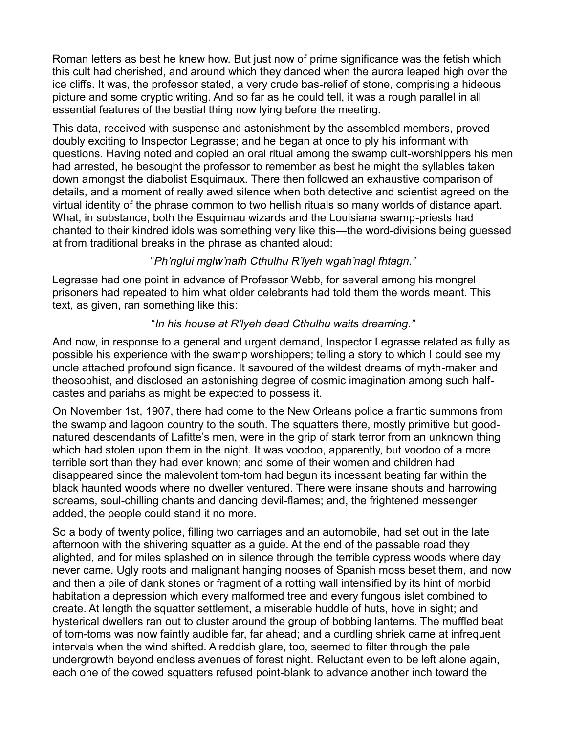Roman letters as best he knew how. But just now of prime significance was the fetish which this cult had cherished, and around which they danced when the aurora leaped high over the ice cliffs. It was, the professor stated, a very crude bas-relief of stone, comprising a hideous picture and some cryptic writing. And so far as he could tell, it was a rough parallel in all essential features of the bestial thing now lying before the meeting.

This data, received with suspense and astonishment by the assembled members, proved doubly exciting to Inspector Legrasse; and he began at once to ply his informant with questions. Having noted and copied an oral ritual among the swamp cult-worshippers his men had arrested, he besought the professor to remember as best he might the syllables taken down amongst the diabolist Esquimaux. There then followed an exhaustive comparison of details, and a moment of really awed silence when both detective and scientist agreed on the virtual identity of the phrase common to two hellish rituals so many worlds of distance apart. What, in substance, both the Esquimau wizards and the Louisiana swamp-priests had chanted to their kindred idols was something very like this—the word-divisions being guessed at from traditional breaks in the phrase as chanted aloud:

## ³*Ph'nglui mglw'nafh Cthulhu R'lyeh wgah'nagl fhtagn."*

Legrasse had one point in advance of Professor Webb, for several among his mongrel prisoners had repeated to him what older celebrants had told them the words meant. This text, as given, ran something like this:

## ³*In his house at R'lyeh dead Cthulhu waits dreaming."*

And now, in response to a general and urgent demand, Inspector Legrasse related as fully as possible his experience with the swamp worshippers; telling a story to which I could see my uncle attached profound significance. It savoured of the wildest dreams of myth-maker and theosophist, and disclosed an astonishing degree of cosmic imagination among such halfcastes and pariahs as might be expected to possess it.

On November 1st, 1907, there had come to the New Orleans police a frantic summons from the swamp and lagoon country to the south. The squatters there, mostly primitive but goodnatured descendants of Lafitte's men, were in the grip of stark terror from an unknown thing which had stolen upon them in the night. It was voodoo, apparently, but voodoo of a more terrible sort than they had ever known; and some of their women and children had disappeared since the malevolent tom-tom had begun its incessant beating far within the black haunted woods where no dweller ventured. There were insane shouts and harrowing screams, soul-chilling chants and dancing devil-flames; and, the frightened messenger added, the people could stand it no more.

So a body of twenty police, filling two carriages and an automobile, had set out in the late afternoon with the shivering squatter as a guide. At the end of the passable road they alighted, and for miles splashed on in silence through the terrible cypress woods where day never came. Ugly roots and malignant hanging nooses of Spanish moss beset them, and now and then a pile of dank stones or fragment of a rotting wall intensified by its hint of morbid habitation a depression which every malformed tree and every fungous islet combined to create. At length the squatter settlement, a miserable huddle of huts, hove in sight; and hysterical dwellers ran out to cluster around the group of bobbing lanterns. The muffled beat of tom-toms was now faintly audible far, far ahead; and a curdling shriek came at infrequent intervals when the wind shifted. A reddish glare, too, seemed to filter through the pale undergrowth beyond endless avenues of forest night. Reluctant even to be left alone again, each one of the cowed squatters refused point-blank to advance another inch toward the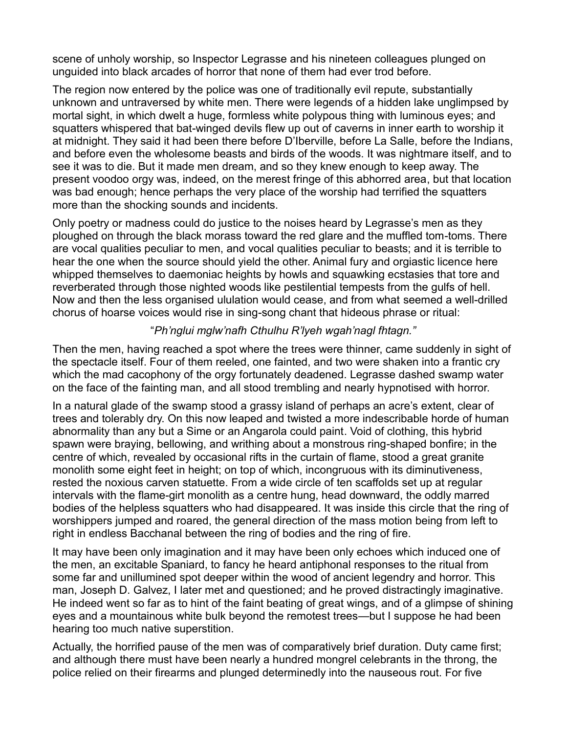scene of unholy worship, so Inspector Legrasse and his nineteen colleagues plunged on unguided into black arcades of horror that none of them had ever trod before.

The region now entered by the police was one of traditionally evil repute, substantially unknown and untraversed by white men. There were legends of a hidden lake unglimpsed by mortal sight, in which dwelt a huge, formless white polypous thing with luminous eyes; and squatters whispered that bat-winged devils flew up out of caverns in inner earth to worship it at midnight. They said it had been there before D'Iberville, before La Salle, before the Indians, and before even the wholesome beasts and birds of the woods. It was nightmare itself, and to see it was to die. But it made men dream, and so they knew enough to keep away. The present voodoo orgy was, indeed, on the merest fringe of this abhorred area, but that location was bad enough; hence perhaps the very place of the worship had terrified the squatters more than the shocking sounds and incidents.

Only poetry or madness could do justice to the noises heard by Legrasse's men as they ploughed on through the black morass toward the red glare and the muffled tom-toms. There are vocal qualities peculiar to men, and vocal qualities peculiar to beasts; and it is terrible to hear the one when the source should yield the other. Animal fury and orgiastic licence here whipped themselves to daemoniac heights by howls and squawking ecstasies that tore and reverberated through those nighted woods like pestilential tempests from the gulfs of hell. Now and then the less organised ululation would cease, and from what seemed a well-drilled chorus of hoarse voices would rise in sing-song chant that hideous phrase or ritual:

## ³*Ph'nglui mglw'nafh Cthulhu R'lyeh wgah'nagl fhtagn."*

Then the men, having reached a spot where the trees were thinner, came suddenly in sight of the spectacle itself. Four of them reeled, one fainted, and two were shaken into a frantic cry which the mad cacophony of the orgy fortunately deadened. Legrasse dashed swamp water on the face of the fainting man, and all stood trembling and nearly hypnotised with horror.

In a natural glade of the swamp stood a grassy island of perhaps an acre's extent, clear of trees and tolerably dry. On this now leaped and twisted a more indescribable horde of human abnormality than any but a Sime or an Angarola could paint. Void of clothing, this hybrid spawn were braying, bellowing, and writhing about a monstrous ring-shaped bonfire; in the centre of which, revealed by occasional rifts in the curtain of flame, stood a great granite monolith some eight feet in height; on top of which, incongruous with its diminutiveness, rested the noxious carven statuette. From a wide circle of ten scaffolds set up at regular intervals with the flame-girt monolith as a centre hung, head downward, the oddly marred bodies of the helpless squatters who had disappeared. It was inside this circle that the ring of worshippers jumped and roared, the general direction of the mass motion being from left to right in endless Bacchanal between the ring of bodies and the ring of fire.

It may have been only imagination and it may have been only echoes which induced one of the men, an excitable Spaniard, to fancy he heard antiphonal responses to the ritual from some far and unillumined spot deeper within the wood of ancient legendry and horror. This man, Joseph D. Galvez, I later met and questioned; and he proved distractingly imaginative. He indeed went so far as to hint of the faint beating of great wings, and of a glimpse of shining eyes and a mountainous white bulk beyond the remotest trees—but I suppose he had been hearing too much native superstition.

Actually, the horrified pause of the men was of comparatively brief duration. Duty came first; and although there must have been nearly a hundred mongrel celebrants in the throng, the police relied on their firearms and plunged determinedly into the nauseous rout. For five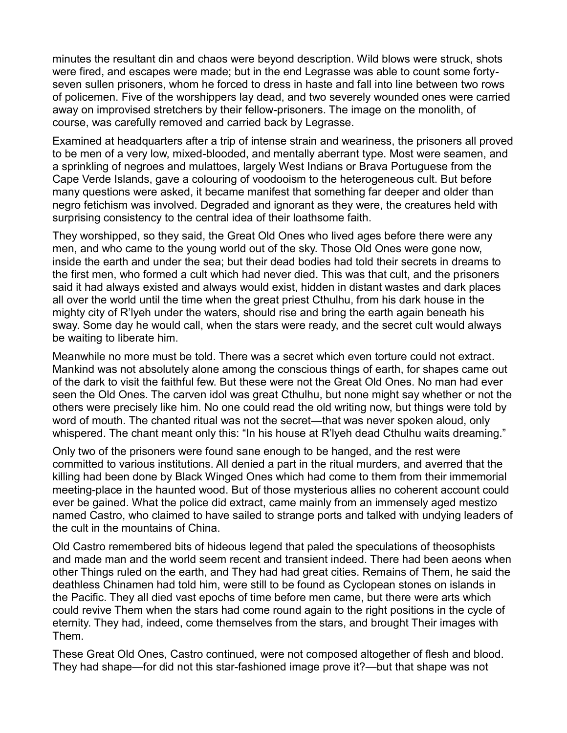minutes the resultant din and chaos were beyond description. Wild blows were struck, shots were fired, and escapes were made; but in the end Legrasse was able to count some fortyseven sullen prisoners, whom he forced to dress in haste and fall into line between two rows of policemen. Five of the worshippers lay dead, and two severely wounded ones were carried away on improvised stretchers by their fellow-prisoners. The image on the monolith, of course, was carefully removed and carried back by Legrasse.

Examined at headquarters after a trip of intense strain and weariness, the prisoners all proved to be men of a very low, mixed-blooded, and mentally aberrant type. Most were seamen, and a sprinkling of negroes and mulattoes, largely West Indians or Brava Portuguese from the Cape Verde Islands, gave a colouring of voodooism to the heterogeneous cult. But before many questions were asked, it became manifest that something far deeper and older than negro fetichism was involved. Degraded and ignorant as they were, the creatures held with surprising consistency to the central idea of their loathsome faith.

They worshipped, so they said, the Great Old Ones who lived ages before there were any men, and who came to the young world out of the sky. Those Old Ones were gone now, inside the earth and under the sea; but their dead bodies had told their secrets in dreams to the first men, who formed a cult which had never died. This was that cult, and the prisoners said it had always existed and always would exist, hidden in distant wastes and dark places all over the world until the time when the great priest Cthulhu, from his dark house in the mighty city of R'lyeh under the waters, should rise and bring the earth again beneath his sway. Some day he would call, when the stars were ready, and the secret cult would always be waiting to liberate him.

Meanwhile no more must be told. There was a secret which even torture could not extract. Mankind was not absolutely alone among the conscious things of earth, for shapes came out of the dark to visit the faithful few. But these were not the Great Old Ones. No man had ever seen the Old Ones. The carven idol was great Cthulhu, but none might say whether or not the others were precisely like him. No one could read the old writing now, but things were told by word of mouth. The chanted ritual was not the secret—that was never spoken aloud, only whispered. The chant meant only this: "In his house at R'lyeh dead Cthulhu waits dreaming."

Only two of the prisoners were found sane enough to be hanged, and the rest were committed to various institutions. All denied a part in the ritual murders, and averred that the killing had been done by Black Winged Ones which had come to them from their immemorial meeting-place in the haunted wood. But of those mysterious allies no coherent account could ever be gained. What the police did extract, came mainly from an immensely aged mestizo named Castro, who claimed to have sailed to strange ports and talked with undying leaders of the cult in the mountains of China.

Old Castro remembered bits of hideous legend that paled the speculations of theosophists and made man and the world seem recent and transient indeed. There had been aeons when other Things ruled on the earth, and They had had great cities. Remains of Them, he said the deathless Chinamen had told him, were still to be found as Cyclopean stones on islands in the Pacific. They all died vast epochs of time before men came, but there were arts which could revive Them when the stars had come round again to the right positions in the cycle of eternity. They had, indeed, come themselves from the stars, and brought Their images with Them.

These Great Old Ones, Castro continued, were not composed altogether of flesh and blood. They had shape—for did not this star-fashioned image prove it?—but that shape was not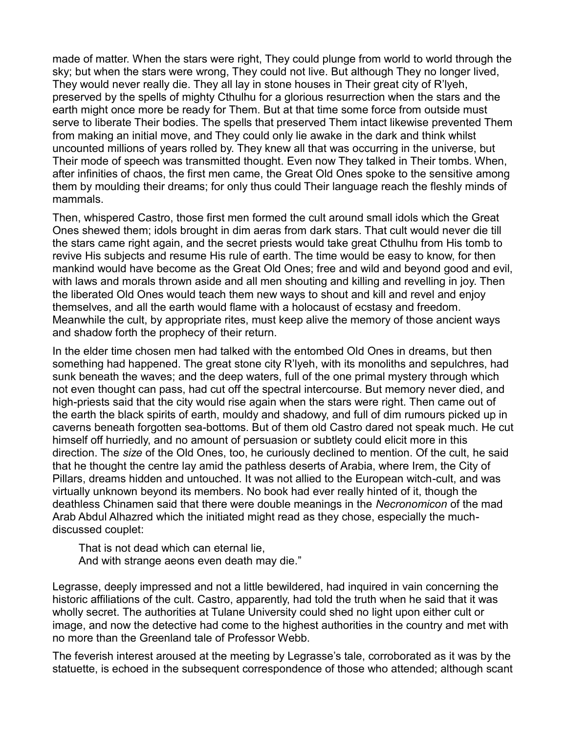made of matter. When the stars were right, They could plunge from world to world through the sky; but when the stars were wrong, They could not live. But although They no longer lived, They would never really die. They all lay in stone houses in Their great city of R'lyeh, preserved by the spells of mighty Cthulhu for a glorious resurrection when the stars and the earth might once more be ready for Them. But at that time some force from outside must serve to liberate Their bodies. The spells that preserved Them intact likewise prevented Them from making an initial move, and They could only lie awake in the dark and think whilst uncounted millions of years rolled by. They knew all that was occurring in the universe, but Their mode of speech was transmitted thought. Even now They talked in Their tombs. When, after infinities of chaos, the first men came, the Great Old Ones spoke to the sensitive among them by moulding their dreams; for only thus could Their language reach the fleshly minds of mammals.

Then, whispered Castro, those first men formed the cult around small idols which the Great Ones shewed them; idols brought in dim aeras from dark stars. That cult would never die till the stars came right again, and the secret priests would take great Cthulhu from His tomb to revive His subjects and resume His rule of earth. The time would be easy to know, for then mankind would have become as the Great Old Ones; free and wild and beyond good and evil, with laws and morals thrown aside and all men shouting and killing and revelling in joy. Then the liberated Old Ones would teach them new ways to shout and kill and revel and enjoy themselves, and all the earth would flame with a holocaust of ecstasy and freedom. Meanwhile the cult, by appropriate rites, must keep alive the memory of those ancient ways and shadow forth the prophecy of their return.

In the elder time chosen men had talked with the entombed Old Ones in dreams, but then something had happened. The great stone city R'lyeh, with its monoliths and sepulchres, had sunk beneath the waves; and the deep waters, full of the one primal mystery through which not even thought can pass, had cut off the spectral intercourse. But memory never died, and high-priests said that the city would rise again when the stars were right. Then came out of the earth the black spirits of earth, mouldy and shadowy, and full of dim rumours picked up in caverns beneath forgotten sea-bottoms. But of them old Castro dared not speak much. He cut himself off hurriedly, and no amount of persuasion or subtlety could elicit more in this direction. The *size* of the Old Ones, too, he curiously declined to mention. Of the cult, he said that he thought the centre lay amid the pathless deserts of Arabia, where Irem, the City of Pillars, dreams hidden and untouched. It was not allied to the European witch-cult, and was virtually unknown beyond its members. No book had ever really hinted of it, though the deathless Chinamen said that there were double meanings in the *Necronomicon* of the mad Arab Abdul Alhazred which the initiated might read as they chose, especially the muchdiscussed couplet:

That is not dead which can eternal lie, And with strange aeons even death may die."

Legrasse, deeply impressed and not a little bewildered, had inquired in vain concerning the historic affiliations of the cult. Castro, apparently, had told the truth when he said that it was wholly secret. The authorities at Tulane University could shed no light upon either cult or image, and now the detective had come to the highest authorities in the country and met with no more than the Greenland tale of Professor Webb.

The feverish interest aroused at the meeting by Legrasse's tale, corroborated as it was by the statuette, is echoed in the subsequent correspondence of those who attended; although scant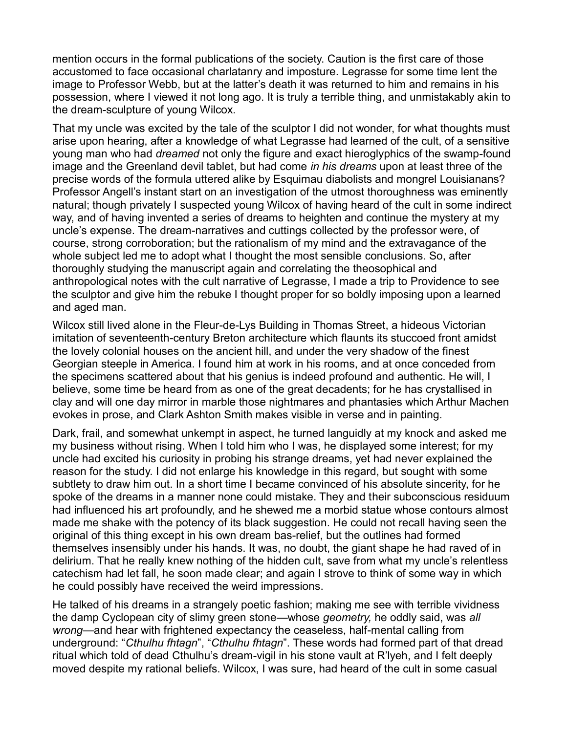mention occurs in the formal publications of the society. Caution is the first care of those accustomed to face occasional charlatanry and imposture. Legrasse for some time lent the image to Professor Webb, but at the latter's death it was returned to him and remains in his possession, where I viewed it not long ago. It is truly a terrible thing, and unmistakably akin to the dream-sculpture of young Wilcox.

That my uncle was excited by the tale of the sculptor I did not wonder, for what thoughts must arise upon hearing, after a knowledge of what Legrasse had learned of the cult, of a sensitive young man who had *dreamed* not only the figure and exact hieroglyphics of the swamp-found image and the Greenland devil tablet, but had come *in his dreams* upon at least three of the precise words of the formula uttered alike by Esquimau diabolists and mongrel Louisianans? Professor Angell's instant start on an investigation of the utmost thoroughness was eminently natural; though privately I suspected young Wilcox of having heard of the cult in some indirect way, and of having invented a series of dreams to heighten and continue the mystery at my uncle's expense. The dream-narratives and cuttings collected by the professor were, of course, strong corroboration; but the rationalism of my mind and the extravagance of the whole subject led me to adopt what I thought the most sensible conclusions. So, after thoroughly studying the manuscript again and correlating the theosophical and anthropological notes with the cult narrative of Legrasse, I made a trip to Providence to see the sculptor and give him the rebuke I thought proper for so boldly imposing upon a learned and aged man.

Wilcox still lived alone in the Fleur-de-Lys Building in Thomas Street, a hideous Victorian imitation of seventeenth-century Breton architecture which flaunts its stuccoed front amidst the lovely colonial houses on the ancient hill, and under the very shadow of the finest Georgian steeple in America. I found him at work in his rooms, and at once conceded from the specimens scattered about that his genius is indeed profound and authentic. He will, I believe, some time be heard from as one of the great decadents; for he has crystallised in clay and will one day mirror in marble those nightmares and phantasies which Arthur Machen evokes in prose, and Clark Ashton Smith makes visible in verse and in painting.

Dark, frail, and somewhat unkempt in aspect, he turned languidly at my knock and asked me my business without rising. When I told him who I was, he displayed some interest; for my uncle had excited his curiosity in probing his strange dreams, yet had never explained the reason for the study. I did not enlarge his knowledge in this regard, but sought with some subtlety to draw him out. In a short time I became convinced of his absolute sincerity, for he spoke of the dreams in a manner none could mistake. They and their subconscious residuum had influenced his art profoundly, and he shewed me a morbid statue whose contours almost made me shake with the potency of its black suggestion. He could not recall having seen the original of this thing except in his own dream bas-relief, but the outlines had formed themselves insensibly under his hands. It was, no doubt, the giant shape he had raved of in delirium. That he really knew nothing of the hidden cult, save from what my uncle's relentless catechism had let fall, he soon made clear; and again I strove to think of some way in which he could possibly have received the weird impressions.

He talked of his dreams in a strangely poetic fashion; making me see with terrible vividness the damp Cyclopean city of slimy green stone—whose *geometry*, he oddly said, was all wrong—and hear with frightened expectancy the ceaseless, half-mental calling from underground: "Cthulhu fhtagn", "Cthulhu fhtagn". These words had formed part of that dread ritual which told of dead Cthulhu's dream-vigil in his stone vault at R'lyeh, and I felt deeply moved despite my rational beliefs. Wilcox, I was sure, had heard of the cult in some casual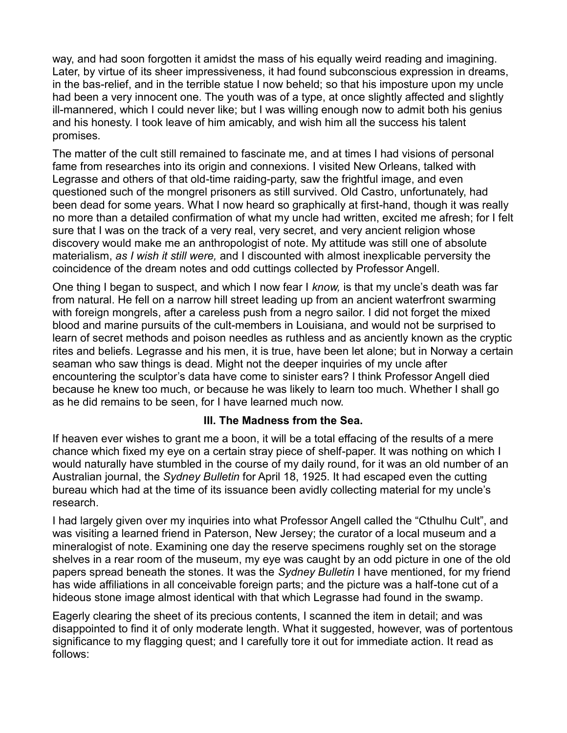way, and had soon forgotten it amidst the mass of his equally weird reading and imagining. Later, by virtue of its sheer impressiveness, it had found subconscious expression in dreams, in the bas-relief, and in the terrible statue I now beheld; so that his imposture upon my uncle had been a very innocent one. The youth was of a type, at once slightly affected and slightly ill-mannered, which I could never like; but I was willing enough now to admit both his genius and his honesty. I took leave of him amicably, and wish him all the success his talent promises.

The matter of the cult still remained to fascinate me, and at times I had visions of personal fame from researches into its origin and connexions. I visited New Orleans, talked with Legrasse and others of that old-time raiding-party, saw the frightful image, and even questioned such of the mongrel prisoners as still survived. Old Castro, unfortunately, had been dead for some years. What I now heard so graphically at first-hand, though it was really no more than a detailed confirmation of what my uncle had written, excited me afresh; for I felt sure that I was on the track of a very real, very secret, and very ancient religion whose discovery would make me an anthropologist of note. My attitude was still one of absolute materialism, *as I wish it still were,* and I discounted with almost inexplicable perversity the coincidence of the dream notes and odd cuttings collected by Professor Angell.

One thing I began to suspect, and which I now fear I *know*, is that my uncle's death was far from natural. He fell on a narrow hill street leading up from an ancient waterfront swarming with foreign mongrels, after a careless push from a negro sailor. I did not forget the mixed blood and marine pursuits of the cult-members in Louisiana, and would not be surprised to learn of secret methods and poison needles as ruthless and as anciently known as the cryptic rites and beliefs. Legrasse and his men, it is true, have been let alone; but in Norway a certain seaman who saw things is dead. Might not the deeper inquiries of my uncle after encountering the sculptor's data have come to sinister ears? I think Professor Angell died because he knew too much, or because he was likely to learn too much. Whether I shall go as he did remains to be seen, for I have learned much now.

#### **III. The Madness from the Sea.**

If heaven ever wishes to grant me a boon, it will be a total effacing of the results of a mere chance which fixed my eye on a certain stray piece of shelf-paper. It was nothing on which I would naturally have stumbled in the course of my daily round, for it was an old number of an Australian journal, the *Sydney Bulletin* for April 18, 1925. It had escaped even the cutting bureau which had at the time of its issuance been avidly collecting material for my uncle's research.

I had largely given over my inquiries into what Professor Angell called the "Cthulhu Cult", and was visiting a learned friend in Paterson, New Jersey; the curator of a local museum and a mineralogist of note. Examining one day the reserve specimens roughly set on the storage shelves in a rear room of the museum, my eye was caught by an odd picture in one of the old papers spread beneath the stones. It was the *Sydney Bulletin* I have mentioned, for my friend has wide affiliations in all conceivable foreign parts; and the picture was a half-tone cut of a hideous stone image almost identical with that which Legrasse had found in the swamp.

Eagerly clearing the sheet of its precious contents, I scanned the item in detail; and was disappointed to find it of only moderate length. What it suggested, however, was of portentous significance to my flagging quest; and I carefully tore it out for immediate action. It read as follows: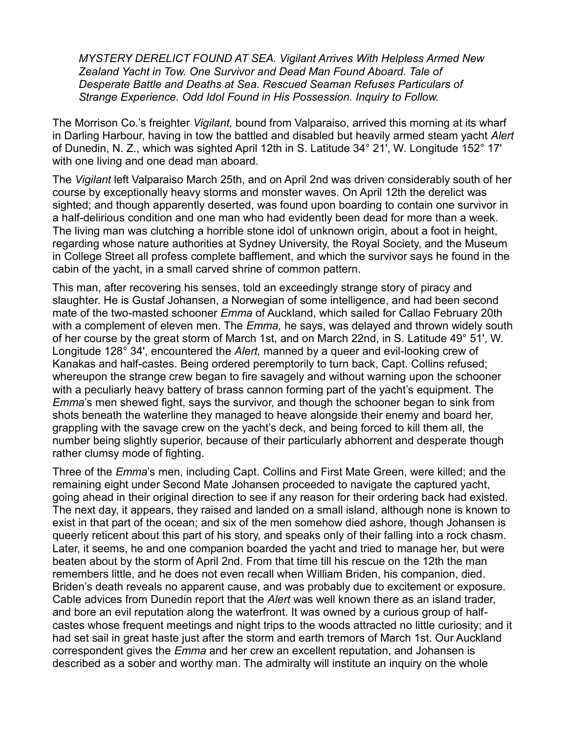*MYSTERY DERELICT FOUND AT SEA. Vigilant Arrives With Helpless Armed New Zealand Yacht in Tow. One Survivor and Dead Man Found Aboard. Tale of Desperate Battle and Deaths at Sea. Rescued Seaman Refuses Particulars of Strange Experience. Odd Idol Found in His Possession. Inquiry to Follow.*

The Morrison Co.'s freighter *Vigilant*, bound from Valparaiso, arrived this morning at its wharf in Darling Harbour, having in tow the battled and disabled but heavily armed steam yacht *Alert* of Dunedin, N. Z., which was sighted April 12th in S. Latitude 34° 21', W. Longitude 152° 17' with one living and one dead man aboard.

The *Vigilant* left Valparaiso March 25th, and on April 2nd was driven considerably south of her course by exceptionally heavy storms and monster waves. On April 12th the derelict was sighted; and though apparently deserted, was found upon boarding to contain one survivor in a half-delirious condition and one man who had evidently been dead for more than a week. The living man was clutching a horrible stone idol of unknown origin, about a foot in height, regarding whose nature authorities at Sydney University, the Royal Society, and the Museum in College Street all profess complete bafflement, and which the survivor says he found in the cabin of the yacht, in a small carved shrine of common pattern.

This man, after recovering his senses, told an exceedingly strange story of piracy and slaughter. He is Gustaf Johansen, a Norwegian of some intelligence, and had been second mate of the two-masted schooner *Emma* of Auckland, which sailed for Callao February 20th with a complement of eleven men. The *Emma,* he says, was delayed and thrown widely south of her course by the great storm of March 1st, and on March 22nd, in S. Latitude 49° 51', W. Longitude 128° 34', encountered the *Alert,* manned by a queer and evil-looking crew of Kanakas and half-castes. Being ordered peremptorily to turn back, Capt. Collins refused; whereupon the strange crew began to fire savagely and without warning upon the schooner with a peculiarly heavy battery of brass cannon forming part of the yacht's equipment. The *Emma*'s men shewed fight, says the survivor, and though the schooner began to sink from shots beneath the waterline they managed to heave alongside their enemy and board her, grappling with the savage crew on the yacht's deck, and being forced to kill them all, the number being slightly superior, because of their particularly abhorrent and desperate though rather clumsy mode of fighting.

Three of the *Emma*'s men, including Capt. Collins and First Mate Green, were killed; and the remaining eight under Second Mate Johansen proceeded to navigate the captured yacht, going ahead in their original direction to see if any reason for their ordering back had existed. The next day, it appears, they raised and landed on a small island, although none is known to exist in that part of the ocean; and six of the men somehow died ashore, though Johansen is queerly reticent about this part of his story, and speaks only of their falling into a rock chasm. Later, it seems, he and one companion boarded the yacht and tried to manage her, but were beaten about by the storm of April 2nd. From that time till his rescue on the 12th the man remembers little, and he does not even recall when William Briden, his companion, died. Briden's death reveals no apparent cause, and was probably due to excitement or exposure. Cable advices from Dunedin report that the *Alert* was well known there as an island trader, and bore an evil reputation along the waterfront. It was owned by a curious group of halfcastes whose frequent meetings and night trips to the woods attracted no little curiosity; and it had set sail in great haste just after the storm and earth tremors of March 1st. Our Auckland correspondent gives the *Emma* and her crew an excellent reputation, and Johansen is described as a sober and worthy man. The admiralty will institute an inquiry on the whole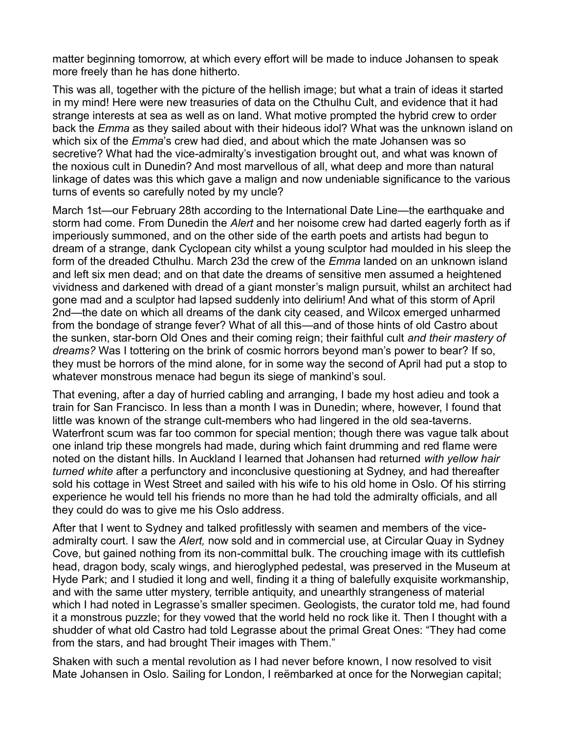matter beginning tomorrow, at which every effort will be made to induce Johansen to speak more freely than he has done hitherto.

This was all, together with the picture of the hellish image; but what a train of ideas it started in my mind! Here were new treasuries of data on the Cthulhu Cult, and evidence that it had strange interests at sea as well as on land. What motive prompted the hybrid crew to order back the *Emma* as they sailed about with their hideous idol? What was the unknown island on which six of the *Emma*'s crew had died, and about which the mate Johansen was so secretive? What had the vice-admiralty's investigation brought out, and what was known of the noxious cult in Dunedin? And most marvellous of all, what deep and more than natural linkage of dates was this which gave a malign and now undeniable significance to the various turns of events so carefully noted by my uncle?

March 1st—our February 28th according to the International Date Line—the earthquake and storm had come. From Dunedin the *Alert* and her noisome crew had darted eagerly forth as if imperiously summoned, and on the other side of the earth poets and artists had begun to dream of a strange, dank Cyclopean city whilst a young sculptor had moulded in his sleep the form of the dreaded Cthulhu. March 23d the crew of the *Emma* landed on an unknown island and left six men dead; and on that date the dreams of sensitive men assumed a heightened vividness and darkened with dread of a giant monster's malign pursuit, whilst an architect had gone mad and a sculptor had lapsed suddenly into delirium! And what of this storm of April 2nd—the date on which all dreams of the dank city ceased, and Wilcox emerged unharmed from the bondage of strange fever? What of all this—and of those hints of old Castro about the sunken, star-born Old Ones and their coming reign; their faithful cult *and their mastery of dreams?* Was I tottering on the brink of cosmic horrors beyond man's power to bear? If so, they must be horrors of the mind alone, for in some way the second of April had put a stop to whatever monstrous menace had begun its siege of mankind's soul.

That evening, after a day of hurried cabling and arranging, I bade my host adieu and took a train for San Francisco. In less than a month I was in Dunedin; where, however, I found that little was known of the strange cult-members who had lingered in the old sea-taverns. Waterfront scum was far too common for special mention; though there was vague talk about one inland trip these mongrels had made, during which faint drumming and red flame were noted on the distant hills. In Auckland I learned that Johansen had returned *with yellow hair turned white* after a perfunctory and inconclusive questioning at Sydney, and had thereafter sold his cottage in West Street and sailed with his wife to his old home in Oslo. Of his stirring experience he would tell his friends no more than he had told the admiralty officials, and all they could do was to give me his Oslo address.

After that I went to Sydney and talked profitlessly with seamen and members of the viceadmiralty court. I saw the *Alert,* now sold and in commercial use, at Circular Quay in Sydney Cove, but gained nothing from its non-committal bulk. The crouching image with its cuttlefish head, dragon body, scaly wings, and hieroglyphed pedestal, was preserved in the Museum at Hyde Park; and I studied it long and well, finding it a thing of balefully exquisite workmanship, and with the same utter mystery, terrible antiquity, and unearthly strangeness of material which I had noted in Legrasse's smaller specimen. Geologists, the curator told me, had found it a monstrous puzzle; for they vowed that the world held no rock like it. Then I thought with a shudder of what old Castro had told Legrasse about the primal Great Ones: "They had come from the stars, and had brought Their images with Them."

Shaken with such a mental revolution as I had never before known, I now resolved to visit Mate Johansen in Oslo. Sailing for London, I reëmbarked at once for the Norwegian capital;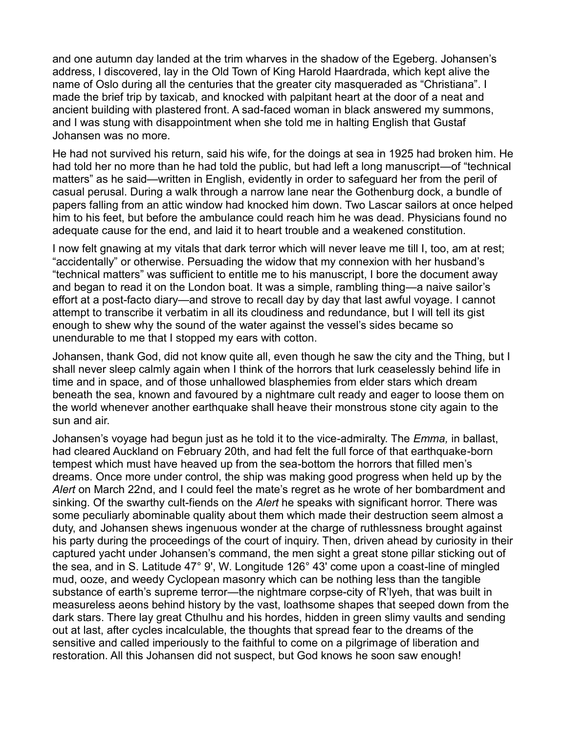and one autumn day landed at the trim wharves in the shadow of the Egeberg. Johansen's address, I discovered, lay in the Old Town of King Harold Haardrada, which kept alive the name of Oslo during all the centuries that the greater city masqueraded as "Christiana". I made the brief trip by taxicab, and knocked with palpitant heart at the door of a neat and ancient building with plastered front. A sad-faced woman in black answered my summons, and I was stung with disappointment when she told me in halting English that Gustaf Johansen was no more.

He had not survived his return, said his wife, for the doings at sea in 1925 had broken him. He had told her no more than he had told the public, but had left a long manuscript—of "technical matters" as he said—written in English, evidently in order to safeguard her from the peril of casual perusal. During a walk through a narrow lane near the Gothenburg dock, a bundle of papers falling from an attic window had knocked him down. Two Lascar sailors at once helped him to his feet, but before the ambulance could reach him he was dead. Physicians found no adequate cause for the end, and laid it to heart trouble and a weakened constitution.

I now felt gnawing at my vitals that dark terror which will never leave me till I, too, am at rest; "accidentally" or otherwise. Persuading the widow that my connexion with her husband's "technical matters" was sufficient to entitle me to his manuscript, I bore the document away and began to read it on the London boat. It was a simple, rambling thing—a naive sailor's effort at a post-facto diary—and strove to recall day by day that last awful voyage. I cannot attempt to transcribe it verbatim in all its cloudiness and redundance, but I will tell its gist enough to shew why the sound of the water against the vessel's sides became so unendurable to me that I stopped my ears with cotton.

Johansen, thank God, did not know quite all, even though he saw the city and the Thing, but I shall never sleep calmly again when I think of the horrors that lurk ceaselessly behind life in time and in space, and of those unhallowed blasphemies from elder stars which dream beneath the sea, known and favoured by a nightmare cult ready and eager to loose them on the world whenever another earthquake shall heave their monstrous stone city again to the sun and air.

Johansen's voyage had begun just as he told it to the vice-admiralty. The *Emma*, in ballast, had cleared Auckland on February 20th, and had felt the full force of that earthquake-born tempest which must have heaved up from the sea-bottom the horrors that filled men's dreams. Once more under control, the ship was making good progress when held up by the Alert on March 22nd, and I could feel the mate's regret as he wrote of her bombardment and sinking. Of the swarthy cult-fiends on the *Alert* he speaks with significant horror. There was some peculiarly abominable quality about them which made their destruction seem almost a duty, and Johansen shews ingenuous wonder at the charge of ruthlessness brought against his party during the proceedings of the court of inquiry. Then, driven ahead by curiosity in their captured yacht under Johansen's command, the men sight a great stone pillar sticking out of the sea, and in S. Latitude 47° 9', W. Longitude 126° 43' come upon a coast-line of mingled mud, ooze, and weedy Cyclopean masonry which can be nothing less than the tangible substance of earth's supreme terror—the nightmare corpse-city of R'Iveh, that was built in measureless aeons behind history by the vast, loathsome shapes that seeped down from the dark stars. There lay great Cthulhu and his hordes, hidden in green slimy vaults and sending out at last, after cycles incalculable, the thoughts that spread fear to the dreams of the sensitive and called imperiously to the faithful to come on a pilgrimage of liberation and restoration. All this Johansen did not suspect, but God knows he soon saw enough!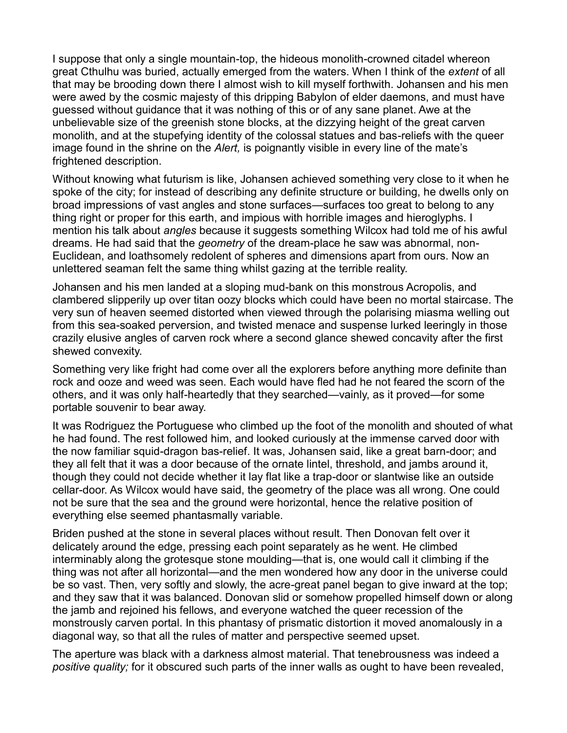I suppose that only a single mountain-top, the hideous monolith-crowned citadel whereon great Cthulhu was buried, actually emerged from the waters. When I think of the *extent* of all that may be brooding down there I almost wish to kill myself forthwith. Johansen and his men were awed by the cosmic majesty of this dripping Babylon of elder daemons, and must have guessed without guidance that it was nothing of this or of any sane planet. Awe at the unbelievable size of the greenish stone blocks, at the dizzying height of the great carven monolith, and at the stupefying identity of the colossal statues and bas-reliefs with the queer image found in the shrine on the *Alert*, is poignantly visible in every line of the mate's frightened description.

Without knowing what futurism is like, Johansen achieved something very close to it when he spoke of the city; for instead of describing any definite structure or building, he dwells only on broad impressions of vast angles and stone surfaces—surfaces too great to belong to any thing right or proper for this earth, and impious with horrible images and hieroglyphs. I mention his talk about *angles* because it suggests something Wilcox had told me of his awful dreams. He had said that the *geometry* of the dream-place he saw was abnormal, non-Euclidean, and loathsomely redolent of spheres and dimensions apart from ours. Now an unlettered seaman felt the same thing whilst gazing at the terrible reality.

Johansen and his men landed at a sloping mud-bank on this monstrous Acropolis, and clambered slipperily up over titan oozy blocks which could have been no mortal staircase. The very sun of heaven seemed distorted when viewed through the polarising miasma welling out from this sea-soaked perversion, and twisted menace and suspense lurked leeringly in those crazily elusive angles of carven rock where a second glance shewed concavity after the first shewed convexity.

Something very like fright had come over all the explorers before anything more definite than rock and ooze and weed was seen. Each would have fled had he not feared the scorn of the others, and it was only half-heartedly that they searched—vainly, as it proved—for some portable souvenir to bear away.

It was Rodriguez the Portuguese who climbed up the foot of the monolith and shouted of what he had found. The rest followed him, and looked curiously at the immense carved door with the now familiar squid-dragon bas-relief. It was, Johansen said, like a great barn-door; and they all felt that it was a door because of the ornate lintel, threshold, and jambs around it, though they could not decide whether it lay flat like a trap-door or slantwise like an outside cellar-door. As Wilcox would have said, the geometry of the place was all wrong. One could not be sure that the sea and the ground were horizontal, hence the relative position of everything else seemed phantasmally variable.

Briden pushed at the stone in several places without result. Then Donovan felt over it delicately around the edge, pressing each point separately as he went. He climbed interminably along the grotesque stone moulding—that is, one would call it climbing if the thing was not after all horizontal—and the men wondered how any door in the universe could be so vast. Then, very softly and slowly, the acre-great panel began to give inward at the top; and they saw that it was balanced. Donovan slid or somehow propelled himself down or along the jamb and rejoined his fellows, and everyone watched the queer recession of the monstrously carven portal. In this phantasy of prismatic distortion it moved anomalously in a diagonal way, so that all the rules of matter and perspective seemed upset.

The aperture was black with a darkness almost material. That tenebrousness was indeed a *positive quality;* for it obscured such parts of the inner walls as ought to have been revealed,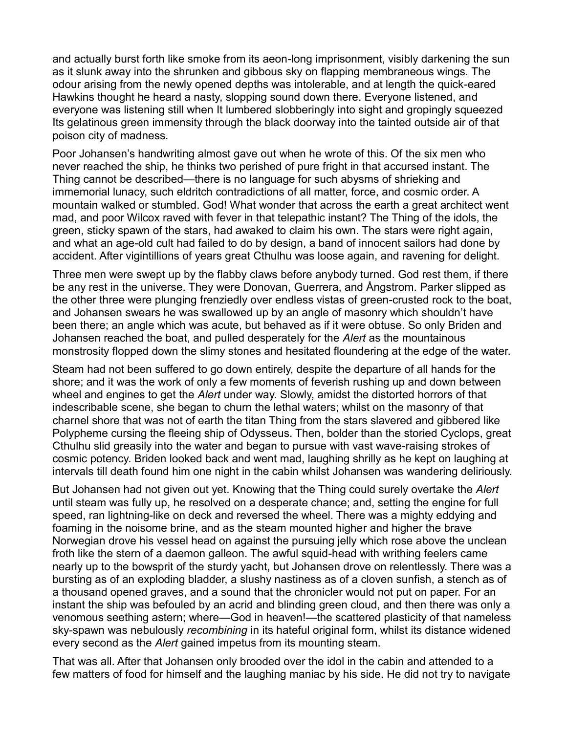and actually burst forth like smoke from its aeon-long imprisonment, visibly darkening the sun as it slunk away into the shrunken and gibbous sky on flapping membraneous wings. The odour arising from the newly opened depths was intolerable, and at length the quick-eared Hawkins thought he heard a nasty, slopping sound down there. Everyone listened, and everyone was listening still when It lumbered slobberingly into sight and gropingly squeezed Its gelatinous green immensity through the black doorway into the tainted outside air of that poison city of madness.

Poor Johansen's handwriting almost gave out when he wrote of this. Of the six men who never reached the ship, he thinks two perished of pure fright in that accursed instant. The Thing cannot be described—there is no language for such abysms of shrieking and immemorial lunacy, such eldritch contradictions of all matter, force, and cosmic order. A mountain walked or stumbled. God! What wonder that across the earth a great architect went mad, and poor Wilcox raved with fever in that telepathic instant? The Thing of the idols, the green, sticky spawn of the stars, had awaked to claim his own. The stars were right again, and what an age-old cult had failed to do by design, a band of innocent sailors had done by accident. After vigintillions of years great Cthulhu was loose again, and ravening for delight.

Three men were swept up by the flabby claws before anybody turned. God rest them, if there be any rest in the universe. They were Donovan, Guerrera, and Ångstrom. Parker slipped as the other three were plunging frenziedly over endless vistas of green-crusted rock to the boat, and Johansen swears he was swallowed up by an angle of masonry which shouldn't have been there; an angle which was acute, but behaved as if it were obtuse. So only Briden and Johansen reached the boat, and pulled desperately for the *Alert* as the mountainous monstrosity flopped down the slimy stones and hesitated floundering at the edge of the water.

Steam had not been suffered to go down entirely, despite the departure of all hands for the shore; and it was the work of only a few moments of feverish rushing up and down between wheel and engines to get the *Alert* under way. Slowly, amidst the distorted horrors of that indescribable scene, she began to churn the lethal waters; whilst on the masonry of that charnel shore that was not of earth the titan Thing from the stars slavered and gibbered like Polypheme cursing the fleeing ship of Odysseus. Then, bolder than the storied Cyclops, great Cthulhu slid greasily into the water and began to pursue with vast wave-raising strokes of cosmic potency. Briden looked back and went mad, laughing shrilly as he kept on laughing at intervals till death found him one night in the cabin whilst Johansen was wandering deliriously.

But Johansen had not given out yet. Knowing that the Thing could surely overtake the *Alert* until steam was fully up, he resolved on a desperate chance; and, setting the engine for full speed, ran lightning-like on deck and reversed the wheel. There was a mighty eddying and foaming in the noisome brine, and as the steam mounted higher and higher the brave Norwegian drove his vessel head on against the pursuing jelly which rose above the unclean froth like the stern of a daemon galleon. The awful squid-head with writhing feelers came nearly up to the bowsprit of the sturdy yacht, but Johansen drove on relentlessly. There was a bursting as of an exploding bladder, a slushy nastiness as of a cloven sunfish, a stench as of a thousand opened graves, and a sound that the chronicler would not put on paper. For an instant the ship was befouled by an acrid and blinding green cloud, and then there was only a venomous seething astern; where—God in heaven!—the scattered plasticity of that nameless sky-spawn was nebulously *recombining* in its hateful original form, whilst its distance widened every second as the *Alert* gained impetus from its mounting steam.

That was all. After that Johansen only brooded over the idol in the cabin and attended to a few matters of food for himself and the laughing maniac by his side. He did not try to navigate